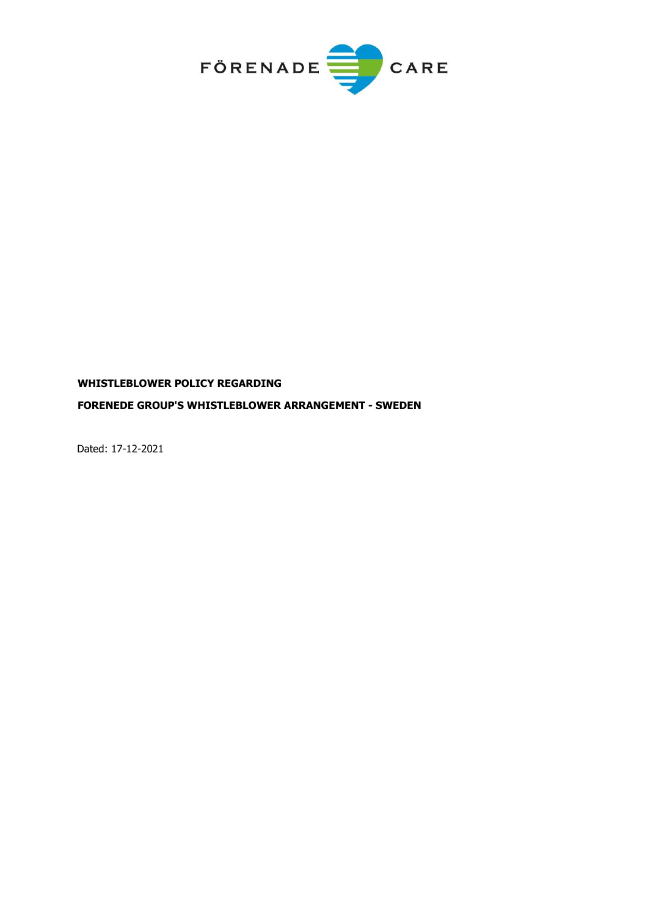

# **WHISTLEBLOWER POLICY REGARDING FORENEDE GROUP'S WHISTLEBLOWER ARRANGEMENT - SWEDEN**

Dated: 17-12-2021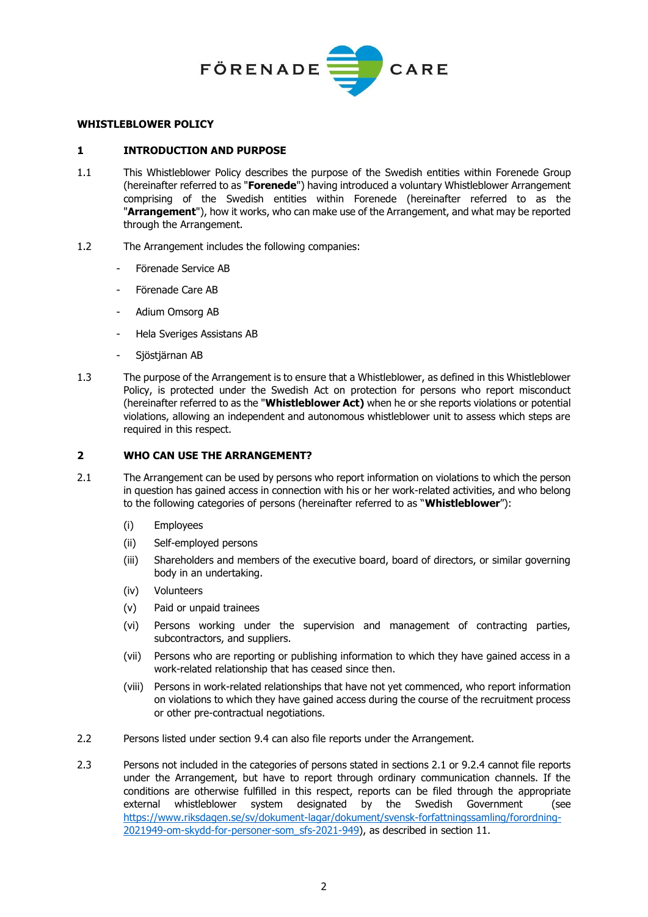

## **WHISTLEBLOWER POLICY**

## **1 INTRODUCTION AND PURPOSE**

- 1.1 This Whistleblower Policy describes the purpose of the Swedish entities within Forenede Group (hereinafter referred to as "**Forenede**") having introduced a voluntary Whistleblower Arrangement comprising of the Swedish entities within Forenede (hereinafter referred to as the "**Arrangement**"), how it works, who can make use of the Arrangement, and what may be reported through the Arrangement.
- 1.2 The Arrangement includes the following companies:
	- Förenade Service AB
	- Förenade Care AB
	- Adium Omsorg AB
	- Hela Sveriges Assistans AB
	- Sjöstjärnan AB
- 1.3 The purpose of the Arrangement is to ensure that a Whistleblower, as defined in this Whistleblower Policy, is protected under the Swedish Act on protection for persons who report misconduct (hereinafter referred to as the "**Whistleblower Act)** when he or she reports violations or potential violations, allowing an independent and autonomous whistleblower unit to assess which steps are required in this respect.

## **2 WHO CAN USE THE ARRANGEMENT?**

- 2.1 The Arrangement can be used by persons who report information on violations to which the person in question has gained access in connection with his or her work-related activities, and who belong to the following categories of persons (hereinafter referred to as "**Whistleblower**"):
	- (i) Employees
	- (ii) Self-employed persons
	- (iii) Shareholders and members of the executive board, board of directors, or similar governing body in an undertaking.
	- (iv) Volunteers
	- (v) Paid or unpaid trainees
	- (vi) Persons working under the supervision and management of contracting parties, subcontractors, and suppliers.
	- (vii) Persons who are reporting or publishing information to which they have gained access in a work-related relationship that has ceased since then.
	- (viii) Persons in work-related relationships that have not yet commenced, who report information on violations to which they have gained access during the course of the recruitment process or other pre-contractual negotiations.
- 2.2 Persons listed under section [9.4](#page-5-0) can also file reports under the Arrangement.
- 2.3 Persons not included in the categories of persons stated in sections 2.1 or 9.2.4 cannot file reports under the Arrangement, but have to report through ordinary communication channels. If the conditions are otherwise fulfilled in this respect, reports can be filed through the appropriate external whistleblower system designated by the Swedish Government (see [https://www.riksdagen.se/sv/dokument-lagar/dokument/svensk-forfattningssamling/forordning-](https://www.riksdagen.se/sv/dokument-lagar/dokument/svensk-forfattningssamling/forordning-2021949-om-skydd-for-personer-som_sfs-2021-949)[2021949-om-skydd-for-personer-som\\_sfs-2021-949\)](https://www.riksdagen.se/sv/dokument-lagar/dokument/svensk-forfattningssamling/forordning-2021949-om-skydd-for-personer-som_sfs-2021-949), as described in section [11.](#page-6-0)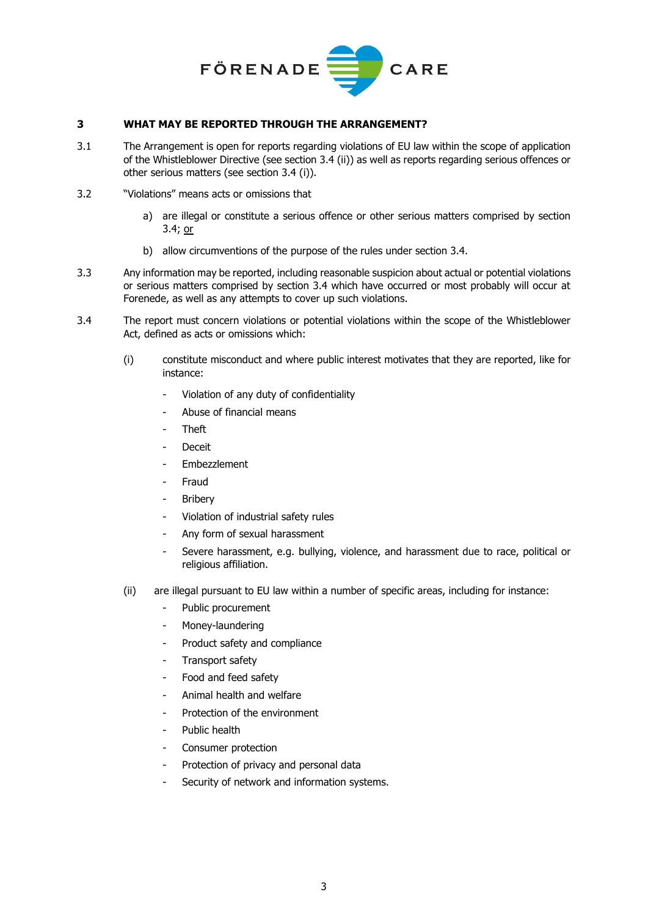

## **3 WHAT MAY BE REPORTED THROUGH THE ARRANGEMENT?**

- 3.1 The Arrangement is open for reports regarding violations of EU law within the scope of application of the Whistleblower Directive (see section 3.4 (ii)) as well as reports regarding serious offences or other serious matters (see section 3.4 (i)).
- 3.2 "Violations" means acts or omissions that
	- a) are illegal or constitute a serious offence or other serious matters comprised by section 3.4; or
	- b) allow circumventions of the purpose of the rules under section 3.4.
- 3.3 Any information may be reported, including reasonable suspicion about actual or potential violations or serious matters comprised by section 3.4 which have occurred or most probably will occur at Forenede, as well as any attempts to cover up such violations.
- <span id="page-2-0"></span>3.4 The report must concern violations or potential violations within the scope of the Whistleblower Act, defined as acts or omissions which:
	- (i) constitute misconduct and where public interest motivates that they are reported, like for instance:
		- Violation of any duty of confidentiality
		- Abuse of financial means
		- Theft
		- **Deceit**
		- Embezzlement
		- **Fraud**
		- **Bribery**
		- Violation of industrial safety rules
		- Any form of sexual harassment
		- Severe harassment, e.g. bullying, violence, and harassment due to race, political or religious affiliation.
	- (ii) are illegal pursuant to EU law within a number of specific areas, including for instance:
		- Public procurement
		- Money-laundering
		- Product safety and compliance
		- Transport safety
		- Food and feed safety
		- Animal health and welfare
		- Protection of the environment
		- Public health
		- Consumer protection
		- Protection of privacy and personal data
		- Security of network and information systems.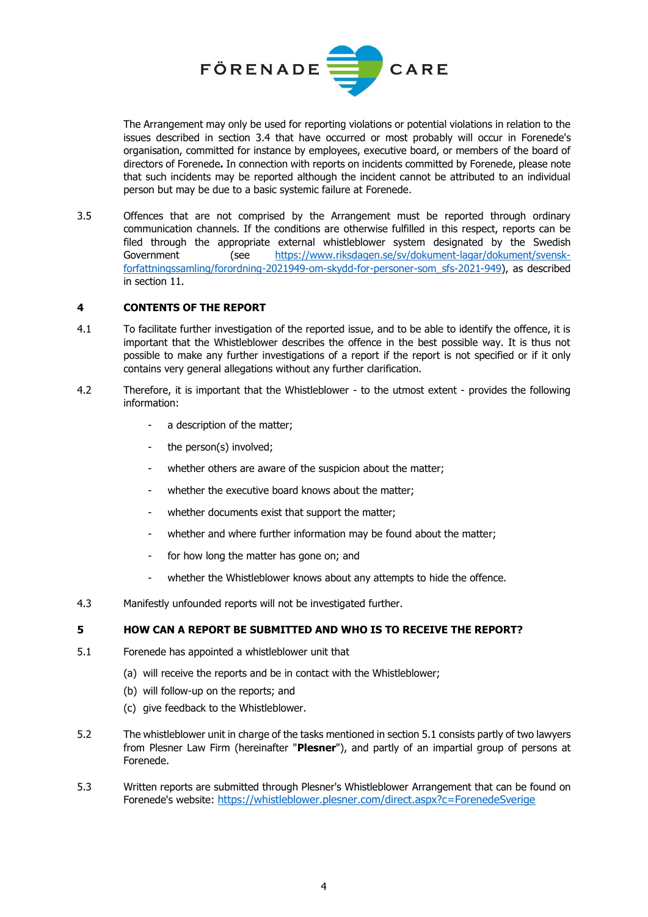

The Arrangement may only be used for reporting violations or potential violations in relation to the issues described in section [3.4](#page-2-0) that have occurred or most probably will occur in Forenede's organisation, committed for instance by employees, executive board, or members of the board of directors of Forenede**.** In connection with reports on incidents committed by Forenede, please note that such incidents may be reported although the incident cannot be attributed to an individual person but may be due to a basic systemic failure at Forenede.

3.5 Offences that are not comprised by the Arrangement must be reported through ordinary communication channels. If the conditions are otherwise fulfilled in this respect, reports can be filed through the appropriate external whistleblower system designated by the Swedish Government (see [https://www.riksdagen.se/sv/dokument-lagar/dokument/svensk](https://www.riksdagen.se/sv/dokument-lagar/dokument/svensk-forfattningssamling/forordning-2021949-om-skydd-for-personer-som_sfs-2021-949)[forfattningssamling/forordning-2021949-om-skydd-for-personer-som\\_sfs-2021-949\)](https://www.riksdagen.se/sv/dokument-lagar/dokument/svensk-forfattningssamling/forordning-2021949-om-skydd-for-personer-som_sfs-2021-949), as described in section [11.](#page-6-0)

## **4 CONTENTS OF THE REPORT**

- 4.1 To facilitate further investigation of the reported issue, and to be able to identify the offence, it is important that the Whistleblower describes the offence in the best possible way. It is thus not possible to make any further investigations of a report if the report is not specified or if it only contains very general allegations without any further clarification.
- 4.2 Therefore, it is important that the Whistleblower to the utmost extent provides the following information:
	- a description of the matter;
	- the person(s) involved;
	- whether others are aware of the suspicion about the matter;
	- whether the executive board knows about the matter;
	- whether documents exist that support the matter;
	- whether and where further information may be found about the matter;
	- for how long the matter has gone on; and
	- whether the Whistleblower knows about any attempts to hide the offence.
- 4.3 Manifestly unfounded reports will not be investigated further.

## **5 HOW CAN A REPORT BE SUBMITTED AND WHO IS TO RECEIVE THE REPORT?**

- 5.1 Forenede has appointed a whistleblower unit that
	- (a) will receive the reports and be in contact with the Whistleblower;
	- (b) will follow-up on the reports; and
	- (c) give feedback to the Whistleblower.
- 5.2 The whistleblower unit in charge of the tasks mentioned in section 5.1 consists partly of two lawyers from Plesner Law Firm (hereinafter "**Plesner**"), and partly of an impartial group of persons at Forenede.
- 5.3 Written reports are submitted through Plesner's Whistleblower Arrangement that can be found on Forenede's website: <https://whistleblower.plesner.com/direct.aspx?c=ForenedeSverige>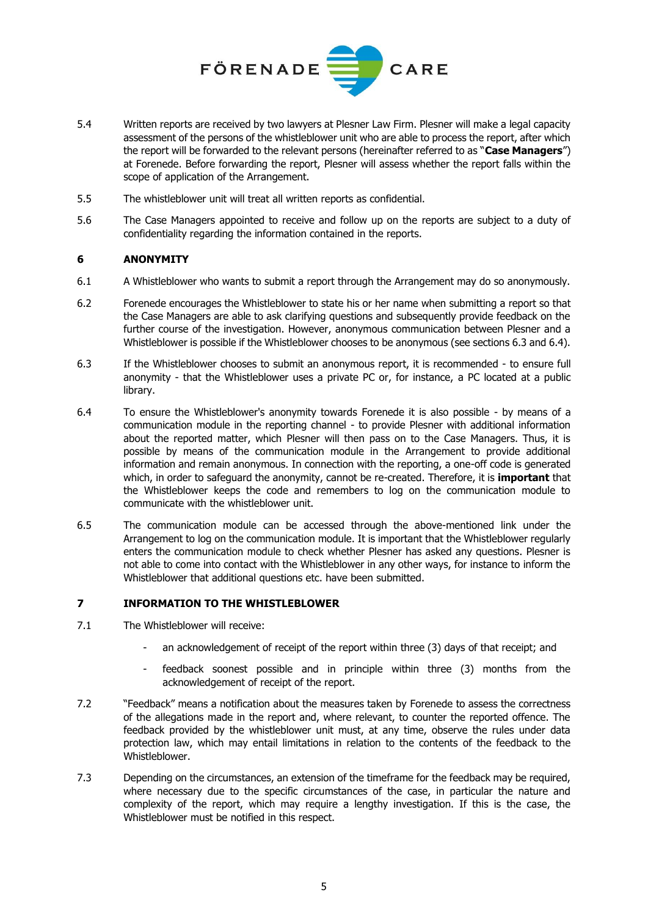

- 5.4 Written reports are received by two lawyers at Plesner Law Firm. Plesner will make a legal capacity assessment of the persons of the whistleblower unit who are able to process the report, after which the report will be forwarded to the relevant persons (hereinafter referred to as "**Case Managers**") at Forenede. Before forwarding the report, Plesner will assess whether the report falls within the scope of application of the Arrangement.
- 5.5 The whistleblower unit will treat all written reports as confidential.
- 5.6 The Case Managers appointed to receive and follow up on the reports are subject to a duty of confidentiality regarding the information contained in the reports.

# **6 ANONYMITY**

- 6.1 A Whistleblower who wants to submit a report through the Arrangement may do so anonymously.
- 6.2 Forenede encourages the Whistleblower to state his or her name when submitting a report so that the Case Managers are able to ask clarifying questions and subsequently provide feedback on the further course of the investigation. However, anonymous communication between Plesner and a Whistleblower is possible if the Whistleblower chooses to be anonymous (see sections 6.3 and 6.4).
- 6.3 If the Whistleblower chooses to submit an anonymous report, it is recommended to ensure full anonymity - that the Whistleblower uses a private PC or, for instance, a PC located at a public library.
- 6.4 To ensure the Whistleblower's anonymity towards Forenede it is also possible by means of a communication module in the reporting channel - to provide Plesner with additional information about the reported matter, which Plesner will then pass on to the Case Managers. Thus, it is possible by means of the communication module in the Arrangement to provide additional information and remain anonymous. In connection with the reporting, a one-off code is generated which, in order to safeguard the anonymity, cannot be re-created. Therefore, it is **important** that the Whistleblower keeps the code and remembers to log on the communication module to communicate with the whistleblower unit.
- 6.5 The communication module can be accessed through the above-mentioned link under the Arrangement to log on the communication module. It is important that the Whistleblower regularly enters the communication module to check whether Plesner has asked any questions. Plesner is not able to come into contact with the Whistleblower in any other ways, for instance to inform the Whistleblower that additional questions etc. have been submitted.

# **7 INFORMATION TO THE WHISTLEBLOWER**

- 7.1 The Whistleblower will receive:
	- an acknowledgement of receipt of the report within three (3) days of that receipt; and
	- feedback soonest possible and in principle within three (3) months from the acknowledgement of receipt of the report.
- 7.2 "Feedback" means a notification about the measures taken by Forenede to assess the correctness of the allegations made in the report and, where relevant, to counter the reported offence. The feedback provided by the whistleblower unit must, at any time, observe the rules under data protection law, which may entail limitations in relation to the contents of the feedback to the Whistleblower.
- 7.3 Depending on the circumstances, an extension of the timeframe for the feedback may be required, where necessary due to the specific circumstances of the case, in particular the nature and complexity of the report, which may require a lengthy investigation. If this is the case, the Whistleblower must be notified in this respect.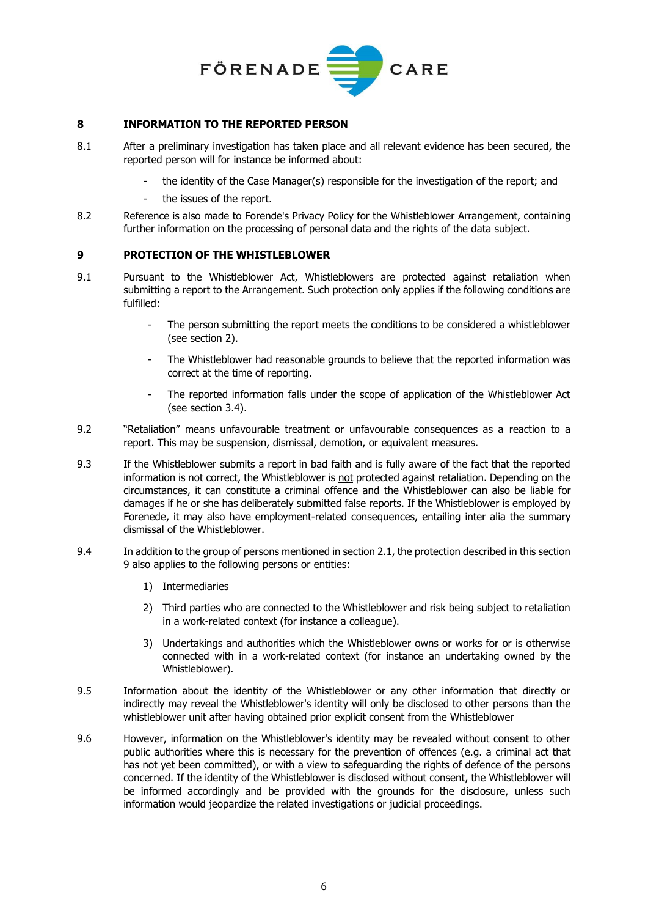

## **8 INFORMATION TO THE REPORTED PERSON**

- 8.1 After a preliminary investigation has taken place and all relevant evidence has been secured, the reported person will for instance be informed about:
	- the identity of the Case Manager(s) responsible for the investigation of the report; and
	- the issues of the report.
- 8.2 Reference is also made to Forende's Privacy Policy for the Whistleblower Arrangement, containing further information on the processing of personal data and the rights of the data subject.

## **9 PROTECTION OF THE WHISTLEBLOWER**

- 9.1 Pursuant to the Whistleblower Act, Whistleblowers are protected against retaliation when submitting a report to the Arrangement. Such protection only applies if the following conditions are fulfilled:
	- The person submitting the report meets the conditions to be considered a whistleblower (see section 2).
	- The Whistleblower had reasonable grounds to believe that the reported information was correct at the time of reporting.
	- The reported information falls under the scope of application of the Whistleblower Act (see section 3.4).
- 9.2 "Retaliation" means unfavourable treatment or unfavourable consequences as a reaction to a report. This may be suspension, dismissal, demotion, or equivalent measures.
- 9.3 If the Whistleblower submits a report in bad faith and is fully aware of the fact that the reported information is not correct, the Whistleblower is not protected against retaliation. Depending on the circumstances, it can constitute a criminal offence and the Whistleblower can also be liable for damages if he or she has deliberately submitted false reports. If the Whistleblower is employed by Forenede, it may also have employment-related consequences, entailing inter alia the summary dismissal of the Whistleblower.
- <span id="page-5-0"></span>9.4 In addition to the group of persons mentioned in section 2.1, the protection described in this section 9 also applies to the following persons or entities:
	- 1) Intermediaries
	- 2) Third parties who are connected to the Whistleblower and risk being subject to retaliation in a work-related context (for instance a colleague).
	- 3) Undertakings and authorities which the Whistleblower owns or works for or is otherwise connected with in a work-related context (for instance an undertaking owned by the Whistleblower).
- 9.5 Information about the identity of the Whistleblower or any other information that directly or indirectly may reveal the Whistleblower's identity will only be disclosed to other persons than the whistleblower unit after having obtained prior explicit consent from the Whistleblower
- 9.6 However, information on the Whistleblower's identity may be revealed without consent to other public authorities where this is necessary for the prevention of offences (e.g. a criminal act that has not yet been committed), or with a view to safeguarding the rights of defence of the persons concerned. If the identity of the Whistleblower is disclosed without consent, the Whistleblower will be informed accordingly and be provided with the grounds for the disclosure, unless such information would jeopardize the related investigations or judicial proceedings.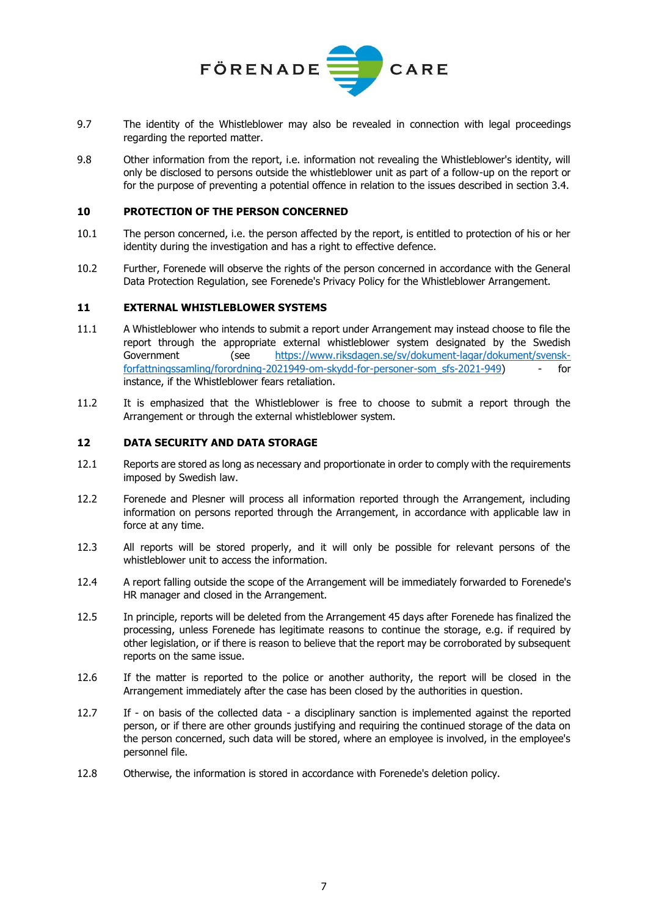

- 9.7 The identity of the Whistleblower may also be revealed in connection with legal proceedings regarding the reported matter.
- 9.8 Other information from the report, i.e. information not revealing the Whistleblower's identity, will only be disclosed to persons outside the whistleblower unit as part of a follow-up on the report or for the purpose of preventing a potential offence in relation to the issues described in section 3.4.

## **10 PROTECTION OF THE PERSON CONCERNED**

- 10.1 The person concerned, i.e. the person affected by the report, is entitled to protection of his or her identity during the investigation and has a right to effective defence.
- 10.2 Further, Forenede will observe the rights of the person concerned in accordance with the General Data Protection Regulation, see Forenede's Privacy Policy for the Whistleblower Arrangement.

### <span id="page-6-0"></span>**11 EXTERNAL WHISTLEBLOWER SYSTEMS**

- 11.1 A Whistleblower who intends to submit a report under Arrangement may instead choose to file the report through the appropriate external whistleblower system designated by the Swedish Government (see [https://www.riksdagen.se/sv/dokument-lagar/dokument/svensk](https://www.riksdagen.se/sv/dokument-lagar/dokument/svensk-forfattningssamling/forordning-2021949-om-skydd-for-personer-som_sfs-2021-949)[forfattningssamling/forordning-2021949-om-skydd-for-personer-som\\_sfs-2021-949\)](https://www.riksdagen.se/sv/dokument-lagar/dokument/svensk-forfattningssamling/forordning-2021949-om-skydd-for-personer-som_sfs-2021-949) - for instance, if the Whistleblower fears retaliation.
- 11.2 It is emphasized that the Whistleblower is free to choose to submit a report through the Arrangement or through the external whistleblower system.

#### **12 DATA SECURITY AND DATA STORAGE**

- 12.1 Reports are stored as long as necessary and proportionate in order to comply with the requirements imposed by Swedish law.
- 12.2 Forenede and Plesner will process all information reported through the Arrangement, including information on persons reported through the Arrangement, in accordance with applicable law in force at any time.
- 12.3 All reports will be stored properly, and it will only be possible for relevant persons of the whistleblower unit to access the information.
- 12.4 A report falling outside the scope of the Arrangement will be immediately forwarded to Forenede's HR manager and closed in the Arrangement.
- 12.5 In principle, reports will be deleted from the Arrangement 45 days after Forenede has finalized the processing, unless Forenede has legitimate reasons to continue the storage, e.g. if required by other legislation, or if there is reason to believe that the report may be corroborated by subsequent reports on the same issue.
- 12.6 If the matter is reported to the police or another authority, the report will be closed in the Arrangement immediately after the case has been closed by the authorities in question.
- 12.7 If on basis of the collected data a disciplinary sanction is implemented against the reported person, or if there are other grounds justifying and requiring the continued storage of the data on the person concerned, such data will be stored, where an employee is involved, in the employee's personnel file.
- 12.8 Otherwise, the information is stored in accordance with Forenede's deletion policy.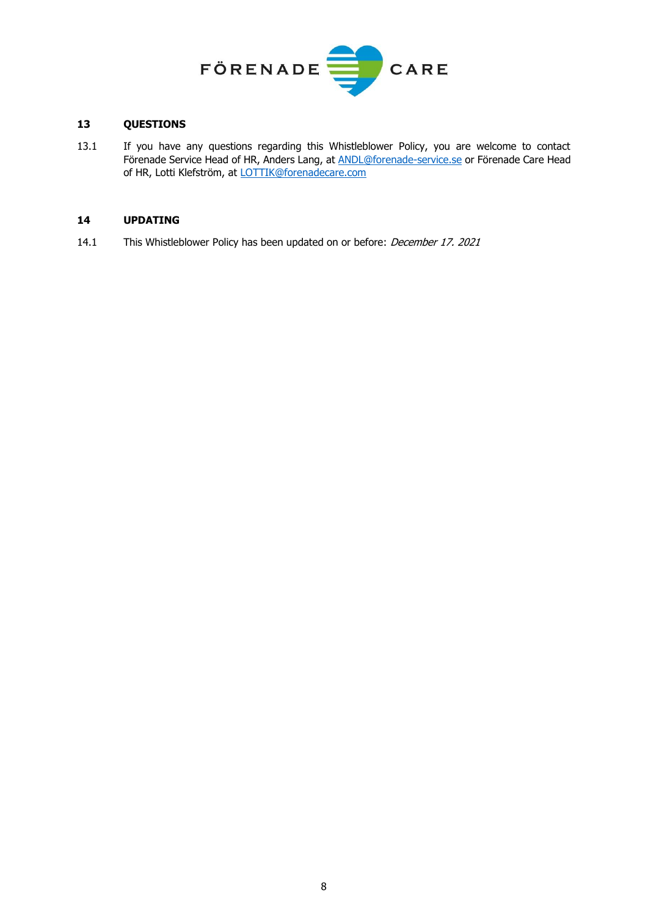

# **13 QUESTIONS**

13.1 If you have any questions regarding this Whistleblower Policy, you are welcome to contact Förenade Service Head of HR, Anders Lang, at **ANDL@forenade-service.se** or Förenade Care Head of HR, Lotti Klefström, at [LOTTIK@forenadecare.com](mailto:LOTTIK@forenadecare.com)

### **14 UPDATING**

14.1 This Whistleblower Policy has been updated on or before: December 17. 2021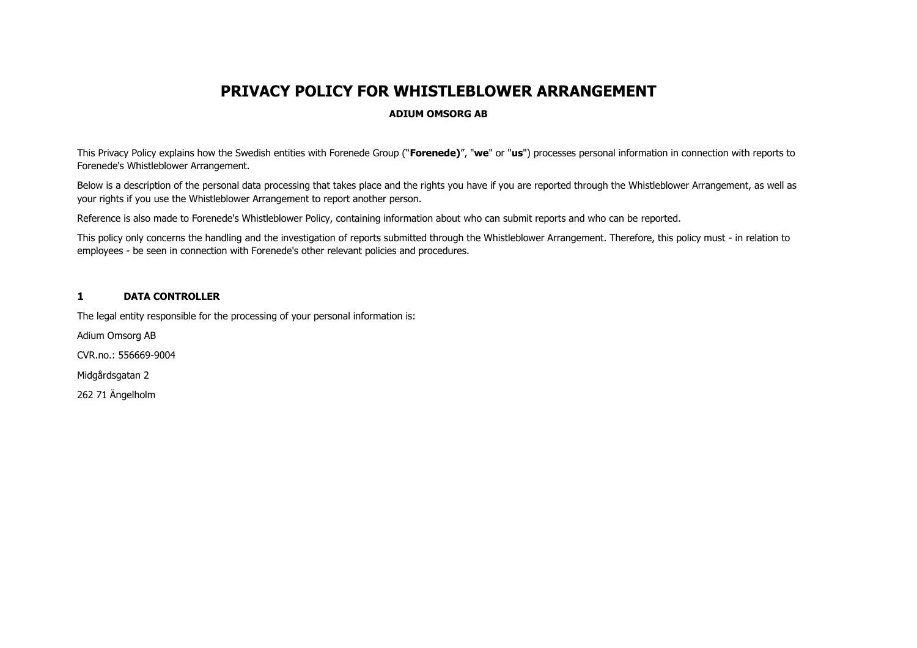# **PRIVACY POLICY FOR WHISTLEBLOWER ARRANGEMENT**

## **ADIUM OMSORG AB**

This Privacy Policy explains how the Swedish entities with Forenede Group ("**Forenede)**", "**we**" or "**us**") processes personal information in connection with reports to Forenede's Whistleblower Arrangement.

Below is a description of the personal data processing that takes place and the rights you have if you are reported through the Whistleblower Arrangement, as well as your rights if you use the Whistleblower Arrangement to report another person.

Reference is also made to Forenede's Whistleblower Policy, containing information about who can submit reports and who can be reported.

This policy only concerns the handling and the investigation of reports submitted through the Whistleblower Arrangement. Therefore, this policy must - in relation to employees - be seen in connection with Forenede's other relevant policies and procedures.

### **1 DATA CONTROLLER**

The legal entity responsible for the processing of your personal information is:

Adium Omsorg AB

CVR.no.: 556669-9004

Midgårdsgatan 2

262 71 Ängelholm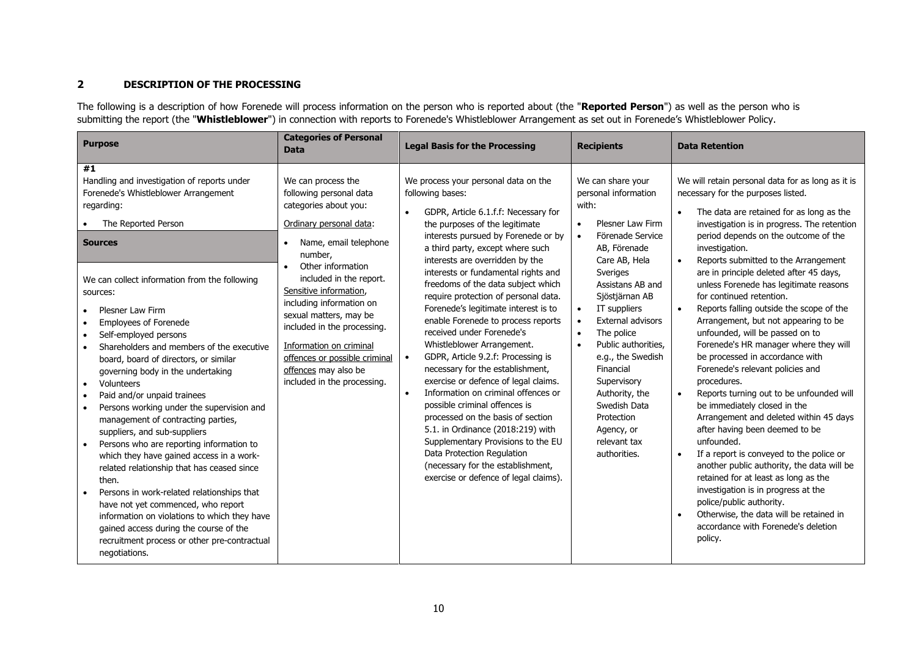# **2 DESCRIPTION OF THE PROCESSING**

The following is a description of how Forenede will process information on the person who is reported about (the "Reported Person") as well as the person who is submitting the report (the "**Whistleblower**") in connection with reports to Forenede's Whistleblower Arrangement as set out in Forenede's Whistleblower Policy.

| <b>Purpose</b>                                                                                                                                                                                                                                                                                                                                                                                                                                                                                                                                                                                                                                                                                                                                                                                                                                                                                                                                                               | <b>Categories of Personal</b><br><b>Data</b>                                                                                                                                                                                                                                                                                                                                                                            | <b>Legal Basis for the Processing</b>                                                                                                                                                                                                                                                                                                                                                                                                                                                                                                                                                                                                                                                                                                                                                                                                                                                                                                             | <b>Recipients</b>                                                                                                                                                                                                                                                                                                                                                                                                                                    | <b>Data Retention</b>                                                                                                                                                                                                                                                                                                                                                                                                                                                                                                                                                                                                                                                                                                                                                                                                                                                                                                                                                                                                                                                                                                                            |
|------------------------------------------------------------------------------------------------------------------------------------------------------------------------------------------------------------------------------------------------------------------------------------------------------------------------------------------------------------------------------------------------------------------------------------------------------------------------------------------------------------------------------------------------------------------------------------------------------------------------------------------------------------------------------------------------------------------------------------------------------------------------------------------------------------------------------------------------------------------------------------------------------------------------------------------------------------------------------|-------------------------------------------------------------------------------------------------------------------------------------------------------------------------------------------------------------------------------------------------------------------------------------------------------------------------------------------------------------------------------------------------------------------------|---------------------------------------------------------------------------------------------------------------------------------------------------------------------------------------------------------------------------------------------------------------------------------------------------------------------------------------------------------------------------------------------------------------------------------------------------------------------------------------------------------------------------------------------------------------------------------------------------------------------------------------------------------------------------------------------------------------------------------------------------------------------------------------------------------------------------------------------------------------------------------------------------------------------------------------------------|------------------------------------------------------------------------------------------------------------------------------------------------------------------------------------------------------------------------------------------------------------------------------------------------------------------------------------------------------------------------------------------------------------------------------------------------------|--------------------------------------------------------------------------------------------------------------------------------------------------------------------------------------------------------------------------------------------------------------------------------------------------------------------------------------------------------------------------------------------------------------------------------------------------------------------------------------------------------------------------------------------------------------------------------------------------------------------------------------------------------------------------------------------------------------------------------------------------------------------------------------------------------------------------------------------------------------------------------------------------------------------------------------------------------------------------------------------------------------------------------------------------------------------------------------------------------------------------------------------------|
| #1<br>Handling and investigation of reports under<br>Forenede's Whistleblower Arrangement<br>regarding:<br>The Reported Person<br><b>Sources</b><br>We can collect information from the following<br>sources:<br>Plesner Law Firm<br>Employees of Forenede<br>Self-employed persons<br>Shareholders and members of the executive<br>board, board of directors, or similar<br>governing body in the undertaking<br>Volunteers<br>Paid and/or unpaid trainees<br>Persons working under the supervision and<br>management of contracting parties,<br>suppliers, and sub-suppliers<br>Persons who are reporting information to<br>which they have gained access in a work-<br>related relationship that has ceased since<br>then.<br>Persons in work-related relationships that<br>have not yet commenced, who report<br>information on violations to which they have<br>gained access during the course of the<br>recruitment process or other pre-contractual<br>negotiations. | We can process the<br>following personal data<br>categories about you:<br>Ordinary personal data:<br>Name, email telephone<br>number,<br>Other information<br>included in the report.<br>Sensitive information,<br>including information on<br>sexual matters, may be<br>included in the processing.<br>Information on criminal<br>offences or possible criminal<br>offences may also be<br>included in the processing. | We process your personal data on the<br>following bases:<br>GDPR, Article 6.1.f.f: Necessary for<br>the purposes of the legitimate<br>interests pursued by Forenede or by<br>a third party, except where such<br>interests are overridden by the<br>interests or fundamental rights and<br>freedoms of the data subject which<br>require protection of personal data.<br>Forenede's legitimate interest is to<br>enable Forenede to process reports<br>received under Forenede's<br>Whistleblower Arrangement.<br>GDPR, Article 9.2.f: Processing is<br>$\bullet$<br>necessary for the establishment,<br>exercise or defence of legal claims.<br>Information on criminal offences or<br>possible criminal offences is<br>processed on the basis of section<br>5.1. in Ordinance (2018:219) with<br>Supplementary Provisions to the EU<br>Data Protection Regulation<br>(necessary for the establishment,<br>exercise or defence of legal claims). | We can share your<br>personal information<br>with:<br>Plesner Law Firm<br>$\bullet$<br>Förenade Service<br>$\bullet$<br>AB, Förenade<br>Care AB, Hela<br>Sveriges<br>Assistans AB and<br>Sjöstjärnan AB<br>IT suppliers<br><b>External advisors</b><br>The police<br>$\bullet$<br>Public authorities.<br>e.g., the Swedish<br>Financial<br>Supervisory<br>Authority, the<br>Swedish Data<br>Protection<br>Agency, or<br>relevant tax<br>authorities. | We will retain personal data for as long as it is<br>necessary for the purposes listed.<br>The data are retained for as long as the<br>$\bullet$<br>investigation is in progress. The retention<br>period depends on the outcome of the<br>investigation.<br>Reports submitted to the Arrangement<br>are in principle deleted after 45 days,<br>unless Forenede has legitimate reasons<br>for continued retention.<br>Reports falling outside the scope of the<br>Arrangement, but not appearing to be<br>unfounded, will be passed on to<br>Forenede's HR manager where they will<br>be processed in accordance with<br>Forenede's relevant policies and<br>procedures.<br>Reports turning out to be unfounded will<br>be immediately closed in the<br>Arrangement and deleted within 45 days<br>after having been deemed to be<br>unfounded.<br>If a report is conveyed to the police or<br>another public authority, the data will be<br>retained for at least as long as the<br>investigation is in progress at the<br>police/public authority.<br>Otherwise, the data will be retained in<br>accordance with Forenede's deletion<br>policy. |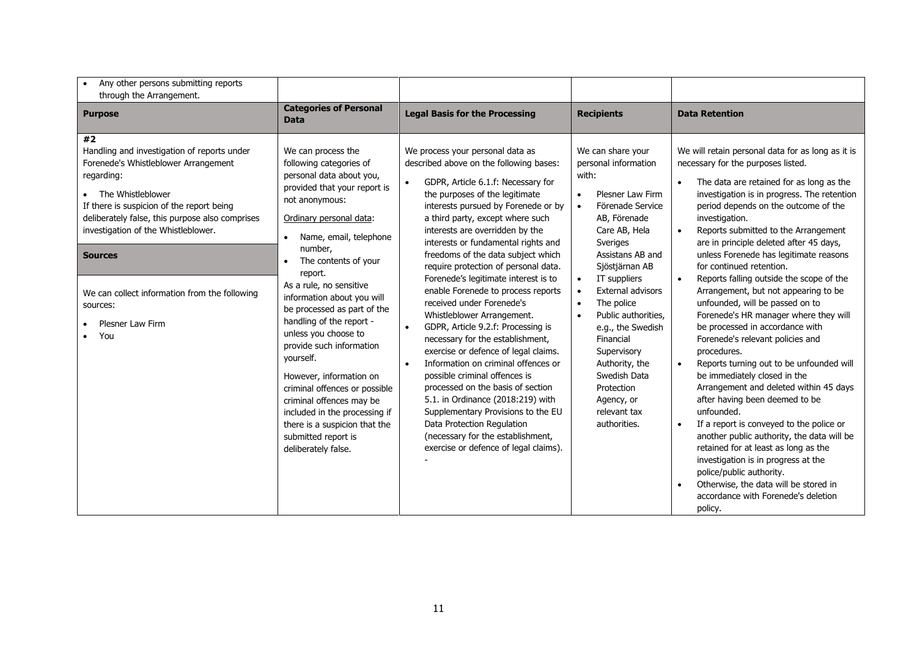| Any other persons submitting reports<br>through the Arrangement.                                                                                                                                                                                                                                                                                                                |                                                                                                                                                                                                                                                                                                                                                                                                                                                                                                                                                                                                                             |                                                                                                                                                                                                                                                                                                                                                                                                                                                                                                                                                                                                                                                                                                                                                                                                                                                                                                                                                                    |                                                                                                                                                                                                                                                                                                                                                                                                                                  |                                                                                                                                                                                                                                                                                                                                                                                                                                                                                                                                                                                                                                                                                                                                                                                                                                                                                                                                                                                                                                                                                                                                                                          |
|---------------------------------------------------------------------------------------------------------------------------------------------------------------------------------------------------------------------------------------------------------------------------------------------------------------------------------------------------------------------------------|-----------------------------------------------------------------------------------------------------------------------------------------------------------------------------------------------------------------------------------------------------------------------------------------------------------------------------------------------------------------------------------------------------------------------------------------------------------------------------------------------------------------------------------------------------------------------------------------------------------------------------|--------------------------------------------------------------------------------------------------------------------------------------------------------------------------------------------------------------------------------------------------------------------------------------------------------------------------------------------------------------------------------------------------------------------------------------------------------------------------------------------------------------------------------------------------------------------------------------------------------------------------------------------------------------------------------------------------------------------------------------------------------------------------------------------------------------------------------------------------------------------------------------------------------------------------------------------------------------------|----------------------------------------------------------------------------------------------------------------------------------------------------------------------------------------------------------------------------------------------------------------------------------------------------------------------------------------------------------------------------------------------------------------------------------|--------------------------------------------------------------------------------------------------------------------------------------------------------------------------------------------------------------------------------------------------------------------------------------------------------------------------------------------------------------------------------------------------------------------------------------------------------------------------------------------------------------------------------------------------------------------------------------------------------------------------------------------------------------------------------------------------------------------------------------------------------------------------------------------------------------------------------------------------------------------------------------------------------------------------------------------------------------------------------------------------------------------------------------------------------------------------------------------------------------------------------------------------------------------------|
| <b>Purpose</b>                                                                                                                                                                                                                                                                                                                                                                  | <b>Categories of Personal</b><br><b>Data</b>                                                                                                                                                                                                                                                                                                                                                                                                                                                                                                                                                                                | <b>Legal Basis for the Processing</b>                                                                                                                                                                                                                                                                                                                                                                                                                                                                                                                                                                                                                                                                                                                                                                                                                                                                                                                              | <b>Recipients</b>                                                                                                                                                                                                                                                                                                                                                                                                                | <b>Data Retention</b>                                                                                                                                                                                                                                                                                                                                                                                                                                                                                                                                                                                                                                                                                                                                                                                                                                                                                                                                                                                                                                                                                                                                                    |
| #2<br>Handling and investigation of reports under<br>Forenede's Whistleblower Arrangement<br>regarding:<br>• The Whistleblower<br>If there is suspicion of the report being<br>deliberately false, this purpose also comprises<br>investigation of the Whistleblower.<br><b>Sources</b><br>We can collect information from the following<br>sources:<br>Plesner Law Firm<br>You | We can process the<br>following categories of<br>personal data about you,<br>provided that your report is<br>not anonymous:<br>Ordinary personal data:<br>Name, email, telephone<br>number.<br>The contents of your<br>report.<br>As a rule, no sensitive<br>information about you will<br>be processed as part of the<br>handling of the report -<br>unless you choose to<br>provide such information<br>yourself.<br>However, information on<br>criminal offences or possible<br>criminal offences may be<br>included in the processing if<br>there is a suspicion that the<br>submitted report is<br>deliberately false. | We process your personal data as<br>described above on the following bases:<br>GDPR, Article 6.1.f: Necessary for<br>the purposes of the legitimate<br>interests pursued by Forenede or by<br>a third party, except where such<br>interests are overridden by the<br>interests or fundamental rights and<br>freedoms of the data subject which<br>require protection of personal data.<br>Forenede's legitimate interest is to<br>enable Forenede to process reports<br>received under Forenede's<br>Whistleblower Arrangement.<br>GDPR, Article 9.2.f: Processing is<br>$\bullet$<br>necessary for the establishment,<br>exercise or defence of legal claims.<br>Information on criminal offences or<br>possible criminal offences is<br>processed on the basis of section<br>5.1. in Ordinance (2018:219) with<br>Supplementary Provisions to the EU<br>Data Protection Regulation<br>(necessary for the establishment,<br>exercise or defence of legal claims). | We can share your<br>personal information<br>with:<br>Plesner Law Firm<br>$\bullet$<br>Förenade Service<br>AB, Förenade<br>Care AB, Hela<br>Sveriges<br>Assistans AB and<br>Sjöstjärnan AB<br>IT suppliers<br>External advisors<br>The police<br>$\bullet$<br>Public authorities.<br>e.g., the Swedish<br>Financial<br>Supervisory<br>Authority, the<br>Swedish Data<br>Protection<br>Agency, or<br>relevant tax<br>authorities. | We will retain personal data for as long as it is<br>necessary for the purposes listed.<br>The data are retained for as long as the<br>investigation is in progress. The retention<br>period depends on the outcome of the<br>investigation.<br>Reports submitted to the Arrangement<br>$\bullet$<br>are in principle deleted after 45 days,<br>unless Forenede has legitimate reasons<br>for continued retention.<br>Reports falling outside the scope of the<br>$\bullet$<br>Arrangement, but not appearing to be<br>unfounded, will be passed on to<br>Forenede's HR manager where they will<br>be processed in accordance with<br>Forenede's relevant policies and<br>procedures.<br>Reports turning out to be unfounded will<br>be immediately closed in the<br>Arrangement and deleted within 45 days<br>after having been deemed to be<br>unfounded.<br>If a report is conveyed to the police or<br>$\bullet$<br>another public authority, the data will be<br>retained for at least as long as the<br>investigation is in progress at the<br>police/public authority.<br>Otherwise, the data will be stored in<br>accordance with Forenede's deletion<br>policy. |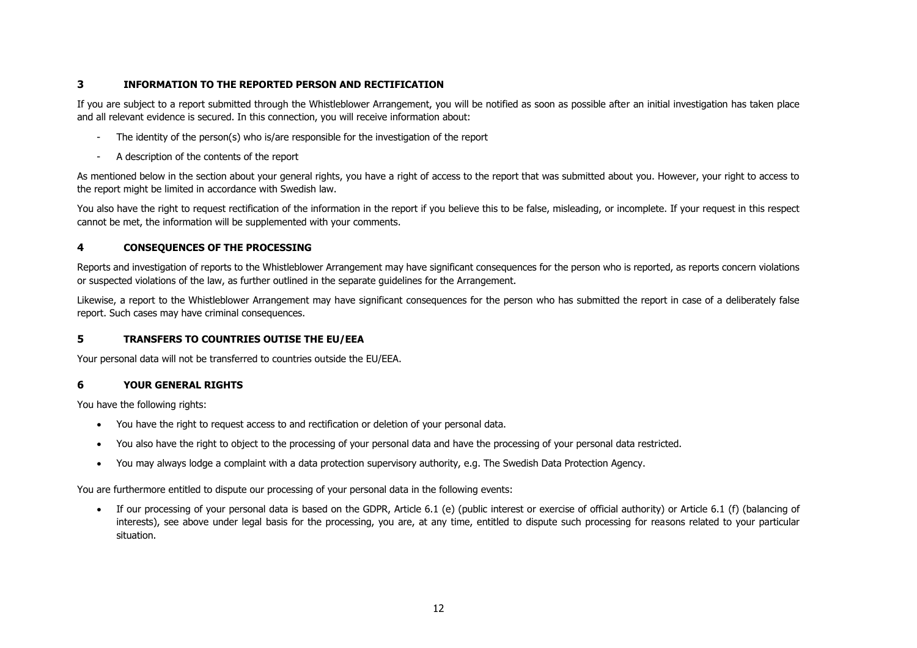# **3 INFORMATION TO THE REPORTED PERSON AND RECTIFICATION**

If you are subject to a report submitted through the Whistleblower Arrangement, you will be notified as soon as possible after an initial investigation has taken place and all relevant evidence is secured. In this connection, you will receive information about:

- The identity of the person(s) who is/are responsible for the investigation of the report
- A description of the contents of the report

As mentioned below in the section about your general rights, you have a right of access to the report that was submitted about you. However, your right to access to the report might be limited in accordance with Swedish law.

You also have the right to request rectification of the information in the report if you believe this to be false, misleading, or incomplete. If your request in this respect cannot be met, the information will be supplemented with your comments.

# **4 CONSEQUENCES OF THE PROCESSING**

Reports and investigation of reports to the Whistleblower Arrangement may have significant consequences for the person who is reported, as reports concern violations or suspected violations of the law, as further outlined in the separate guidelines for the Arrangement.

Likewise, a report to the Whistleblower Arrangement may have significant consequences for the person who has submitted the report in case of a deliberately false report. Such cases may have criminal consequences.

# **5 TRANSFERS TO COUNTRIES OUTISE THE EU/EEA**

Your personal data will not be transferred to countries outside the EU/EEA.

# **6 YOUR GENERAL RIGHTS**

You have the following rights:

- You have the right to request access to and rectification or deletion of your personal data.
- You also have the right to object to the processing of your personal data and have the processing of your personal data restricted.
- You may always lodge a complaint with a data protection supervisory authority, e.g. The Swedish Data Protection Agency.

You are furthermore entitled to dispute our processing of your personal data in the following events:

• If our processing of your personal data is based on the GDPR, Article 6.1 (e) (public interest or exercise of official authority) or Article 6.1 (f) (balancing of interests), see above under legal basis for the processing, you are, at any time, entitled to dispute such processing for reasons related to your particular situation.